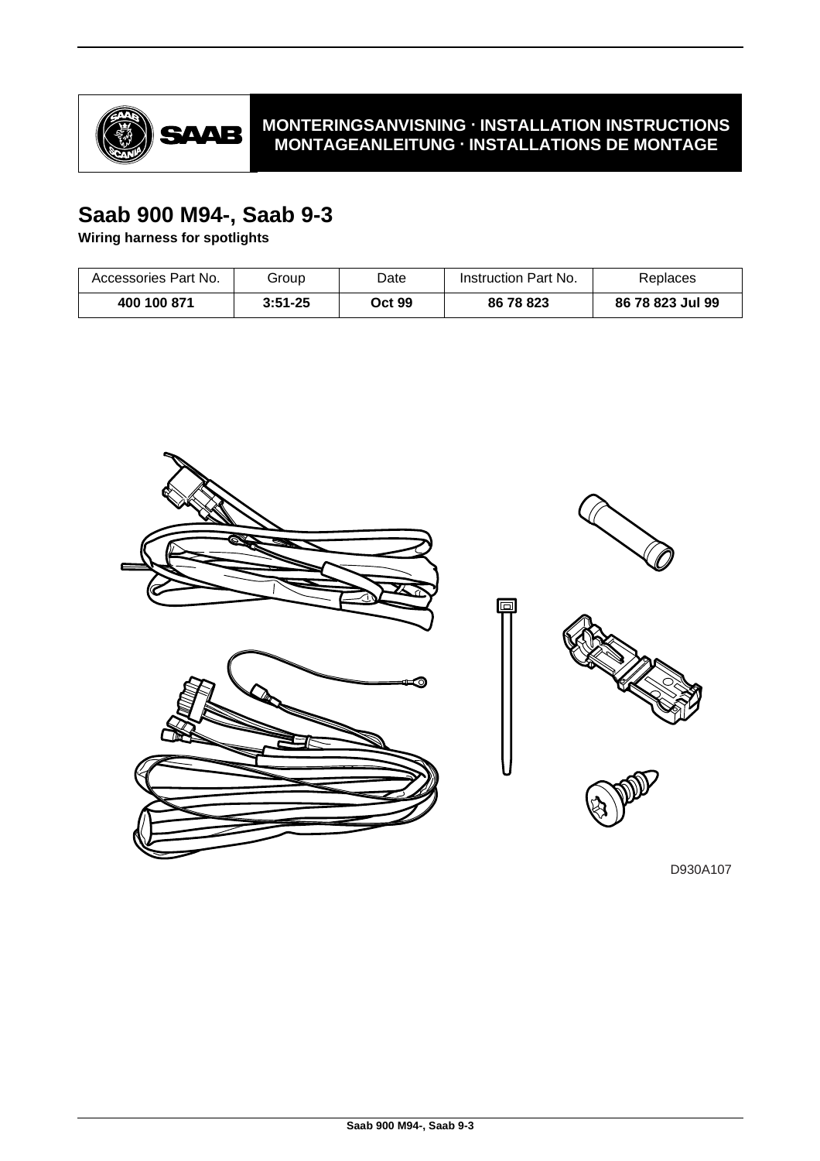

# **MONTERINGSANVISNING · INSTALLATION INSTRUCTIONS MONTAGEANLEITUNG · INSTALLATIONS DE MONTAGE**

# **Saab 900 M94-, Saab 9-3**

**Wiring harness for spotlights**

| Accessories Part No. | Group       | Date   | Instruction Part No. | Replaces         |
|----------------------|-------------|--------|----------------------|------------------|
| 400 100 871          | $3:51 - 25$ | Oct 99 | 86 78 823            | 86 78 823 Jul 99 |

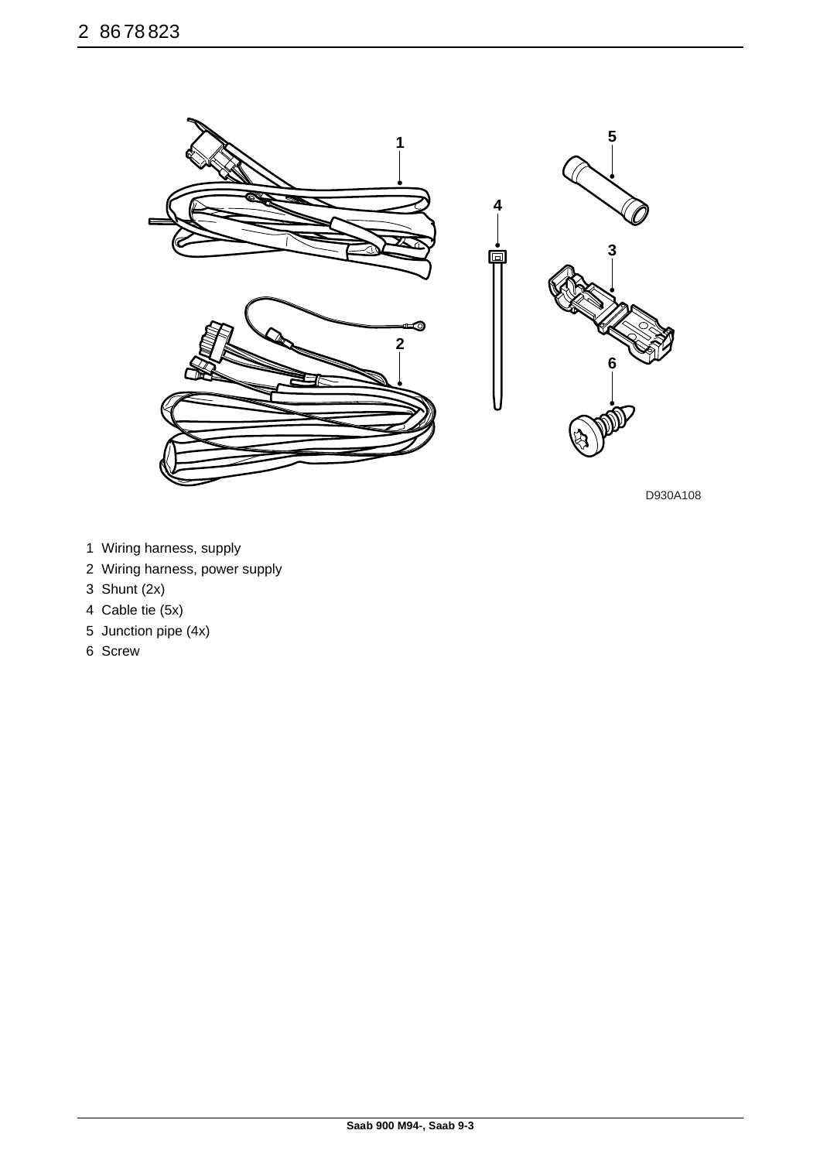

D930A108

- 1 Wiring harness, supply
- 2 Wiring harness, power supply
- 3 Shunt (2x)
- 4 Cable tie (5x)
- 5 Junction pipe (4x)
- 6 Screw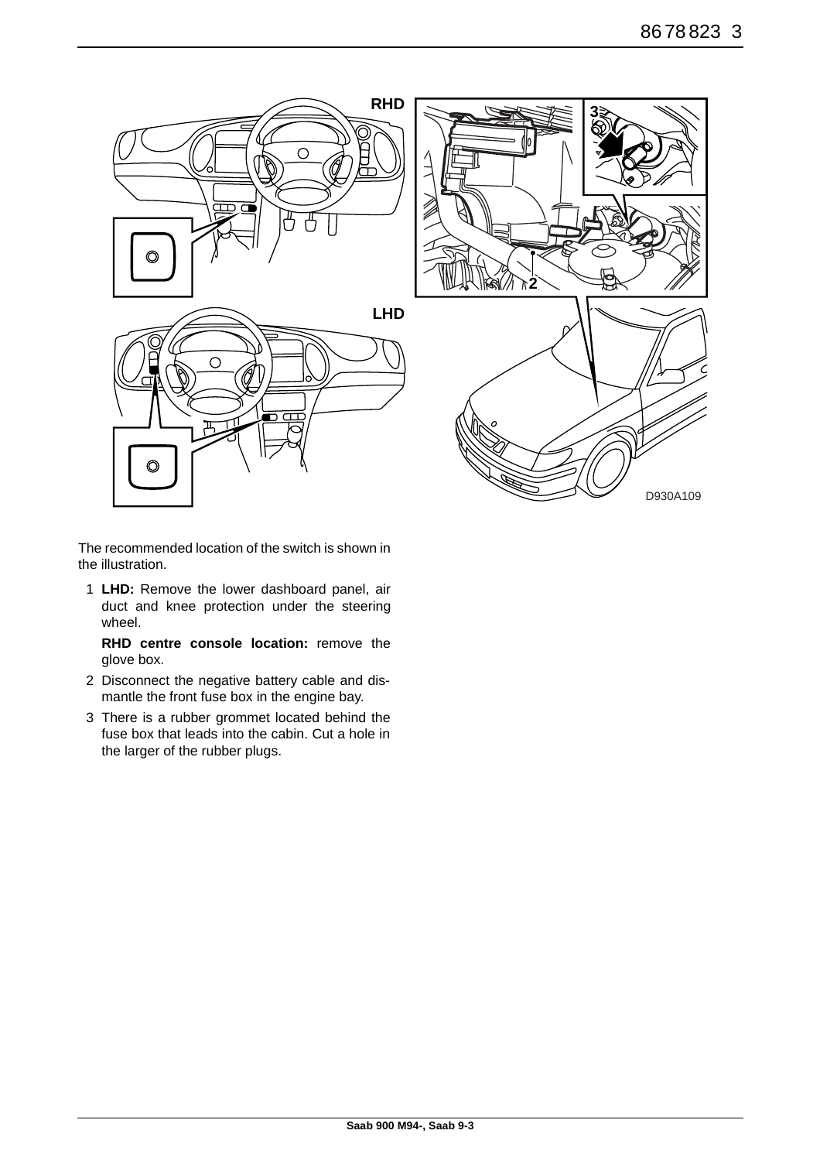

The recommended location of the switch is shown in the illustration.

1 **LHD:** Remove the lower dashboard panel, air duct and knee protection under the steering wheel.

**RHD centre console location:** remove the glove box.

- 2 Disconnect the negative battery cable and dismantle the front fuse box in the engine bay.
- 3 There is a rubber grommet located behind the fuse box that leads into the cabin. Cut a hole in the larger of the rubber plugs.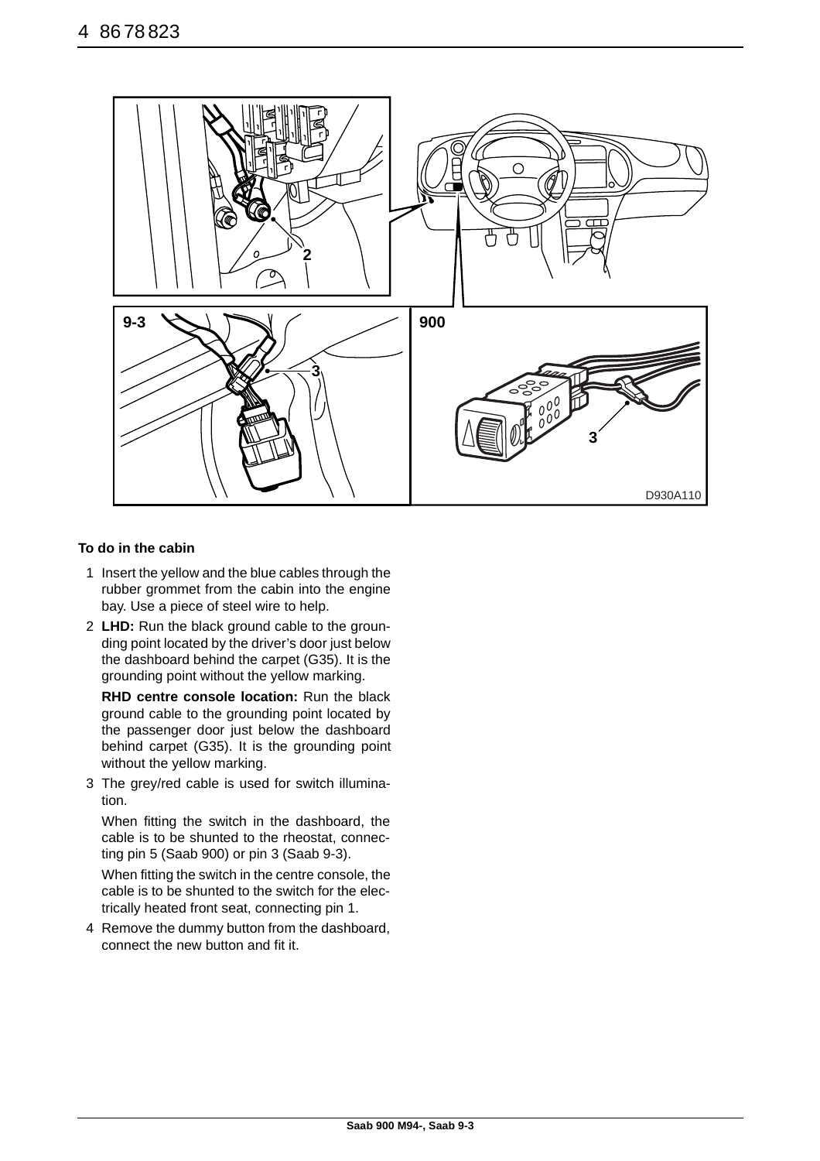

## **To do in the cabin**

- 1 Insert the yellow and the blue cables through the rubber grommet from the cabin into the engine bay. Use a piece of steel wire to help.
- 2 **LHD:** Run the black ground cable to the grounding point located by the driver's door just below the dashboard behind the carpet (G35). It is the grounding point without the yellow marking.

**RHD centre console location:** Run the black ground cable to the grounding point located by the passenger door just below the dashboard behind carpet (G35). It is the grounding point without the yellow marking.

3 The grey/red cable is used for switch illumination.

When fitting the switch in the dashboard, the cable is to be shunted to the rheostat, connecting pin 5 (Saab 900) or pin 3 (Saab 9-3).

When fitting the switch in the centre console, the cable is to be shunted to the switch for the electrically heated front seat, connecting pin 1.

4 Remove the dummy button from the dashboard, connect the new button and fit it.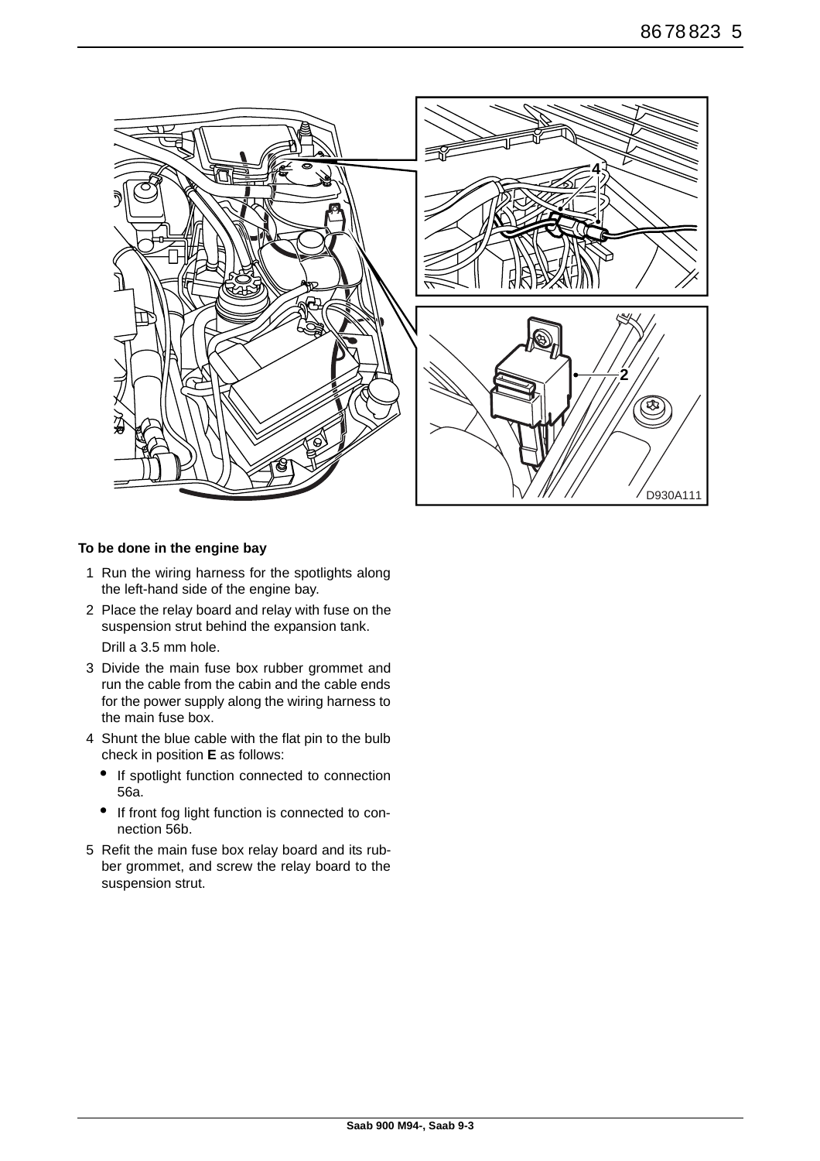

### **To be done in the engine bay**

- 1 Run the wiring harness for the spotlights along the left-hand side of the engine bay.
- 2 Place the relay board and relay with fuse on the suspension strut behind the expansion tank. Drill a 3.5 mm hole.
- 3 Divide the main fuse box rubber grommet and run the cable from the cabin and the cable ends for the power supply along the wiring harness to the main fuse box.
- 4 Shunt the blue cable with the flat pin to the bulb check in position **E** as follows:
	- If spotlight function connected to connection 56a.
	- If front fog light function is connected to connection 56b.
- 5 Refit the main fuse box relay board and its rubber grommet, and screw the relay board to the suspension strut.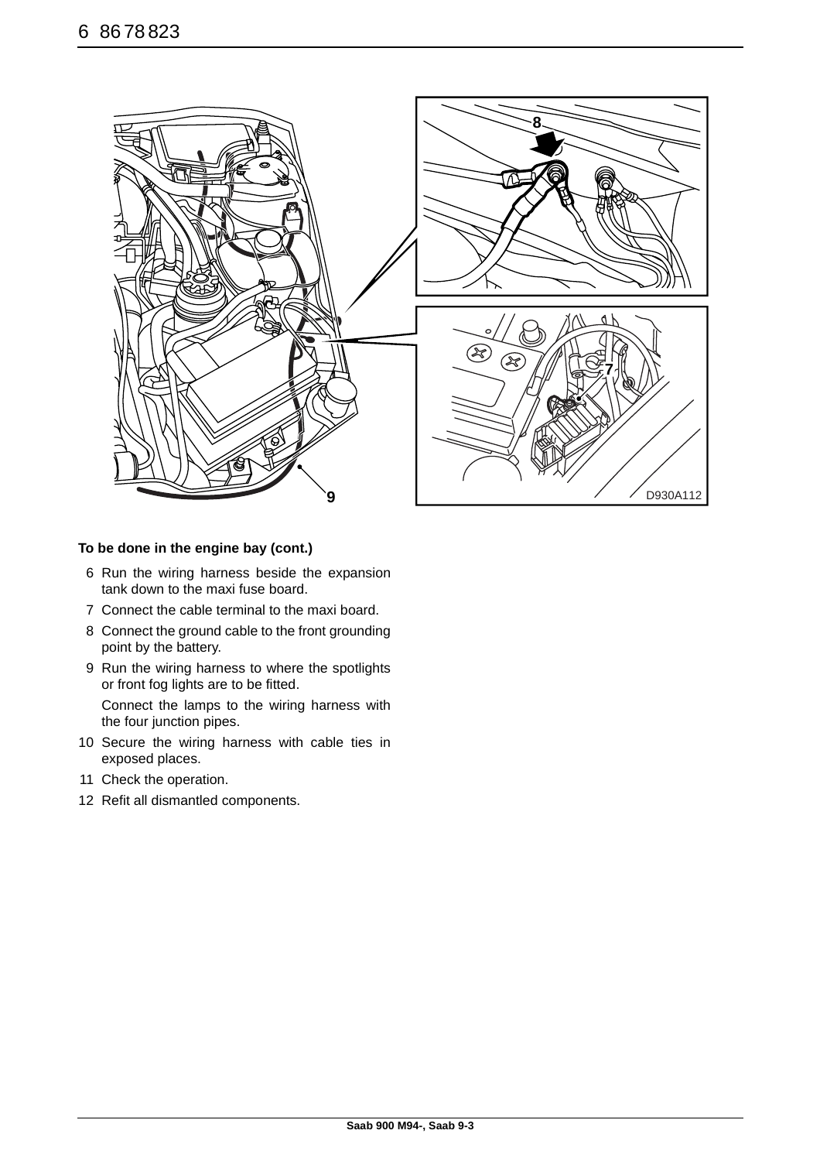

### **To be done in the engine bay (cont.)**

- 6 Run the wiring harness beside the expansion tank down to the maxi fuse board.
- 7 Connect the cable terminal to the maxi board.
- 8 Connect the ground cable to the front grounding point by the battery.
- 9 Run the wiring harness to where the spotlights or front fog lights are to be fitted.

Connect the lamps to the wiring harness with the four junction pipes.

- 10 Secure the wiring harness with cable ties in exposed places.
- 11 Check the operation.
- 12 Refit all dismantled components.